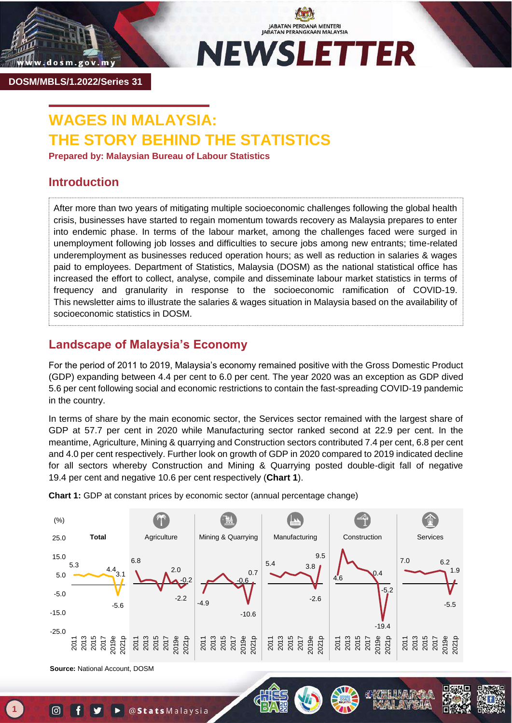

JABATAN PERDANA MENTERI<br>JABATAN PERANGKAAN MALAYSIA **NEWSLETTER** 

**DOSM/MBLS/1.2022/Series 31**

# **WAGES IN MALAYSIA: THE STORY BEHIND THE STATISTICS**

**Prepared by: Malaysian Bureau of Labour Statistics**

## **Introduction**

After more than two years of mitigating multiple socioeconomic challenges following the global health crisis, businesses have started to regain momentum towards recovery as Malaysia prepares to enter into endemic phase. In terms of the labour market, among the challenges faced were surged in unemployment following job losses and difficulties to secure jobs among new entrants; time-related underemployment as businesses reduced operation hours; as well as reduction in salaries & wages paid to employees. Department of Statistics, Malaysia (DOSM) as the national statistical office has increased the effort to collect, analyse, compile and disseminate labour market statistics in terms of frequency and granularity in response to the socioeconomic ramification of COVID-19. This newsletter aims to illustrate the salaries & wages situation in Malaysia based on the availability of socioeconomic statistics in DOSM.

## **Landscape of Malaysia's Economy**

For the period of 2011 to 2019, Malaysia's economy remained positive with the Gross Domestic Product (GDP) expanding between 4.4 per cent to 6.0 per cent. The year 2020 was an exception as GDP dived 5.6 per cent following social and economic restrictions to contain the fast-spreading COVID-19 pandemic in the country.

In terms of share by the main economic sector, the Services sector remained with the largest share of GDP at 57.7 per cent in 2020 while Manufacturing sector ranked second at 22.9 per cent. In the meantime, Agriculture, Mining & quarrying and Construction sectors contributed 7.4 per cent, 6.8 per cent and 4.0 per cent respectively. Further look on growth of GDP in 2020 compared to 2019 indicated decline for all sectors whereby Construction and Mining & Quarrying posted double-digit fall of negative 19.4 per cent and negative 10.6 per cent respectively (**Chart 1**).



**Chart 1:** GDP at constant prices by economic sector (annual percentage change)

**Source:** National Account, DOSM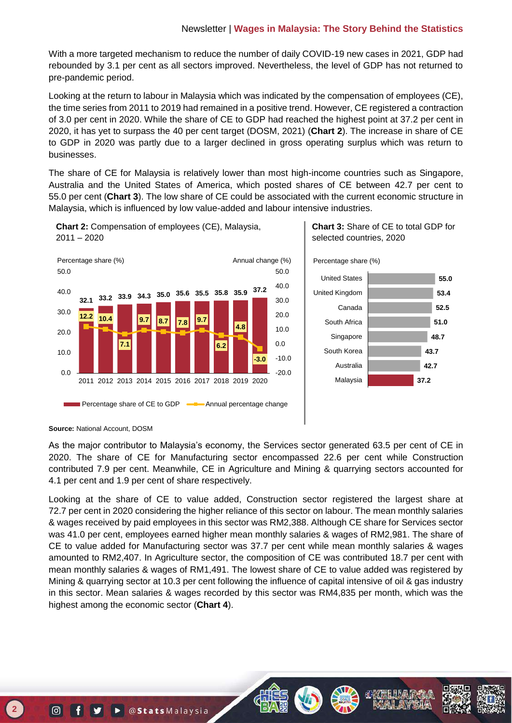With a more targeted mechanism to reduce the number of daily COVID-19 new cases in 2021, GDP had rebounded by 3.1 per cent as all sectors improved. Nevertheless, the level of GDP has not returned to pre-pandemic period.

Looking at the return to labour in Malaysia which was indicated by the compensation of employees (CE), the time series from 2011 to 2019 had remained in a positive trend. However, CE registered a contraction of 3.0 per cent in 2020. While the share of CE to GDP had reached the highest point at 37.2 per cent in 2020, it has yet to surpass the 40 per cent target (DOSM, 2021) (**Chart 2**). The increase in share of CE to GDP in 2020 was partly due to a larger declined in gross operating surplus which was return to businesses.

The share of CE for Malaysia is relatively lower than most high-income countries such as Singapore, Australia and the United States of America, which posted shares of CE between 42.7 per cent to 55.0 per cent (**Chart 3**). The low share of CE could be associated with the current economic structure in Malaysia, which is influenced by low value-added and labour intensive industries.



**Chart 2:** Compensation of employees (CE), Malaysia,

**Chart 3:** Share of CE to total GDP for selected countries, 2020





#### **Source:** National Account, DOSM

As the major contributor to Malaysia's economy, the Services sector generated 63.5 per cent of CE in 2020. The share of CE for Manufacturing sector encompassed 22.6 per cent while Construction contributed 7.9 per cent. Meanwhile, CE in Agriculture and Mining & quarrying sectors accounted for 4.1 per cent and 1.9 per cent of share respectively.

Looking at the share of CE to value added, Construction sector registered the largest share at 72.7 per cent in 2020 considering the higher reliance of this sector on labour. The mean monthly salaries & wages received by paid employees in this sector was RM2,388. Although CE share for Services sector was 41.0 per cent, employees earned higher mean monthly salaries & wages of RM2,981. The share of CE to value added for Manufacturing sector was 37.7 per cent while mean monthly salaries & wages amounted to RM2,407. In Agriculture sector, the composition of CE was contributed 18.7 per cent with mean monthly salaries & wages of RM1,491. The lowest share of CE to value added was registered by Mining & quarrying sector at 10.3 per cent following the influence of capital intensive of oil & gas industry in this sector. Mean salaries & wages recorded by this sector was RM4,835 per month, which was the highest among the economic sector (**Chart 4**).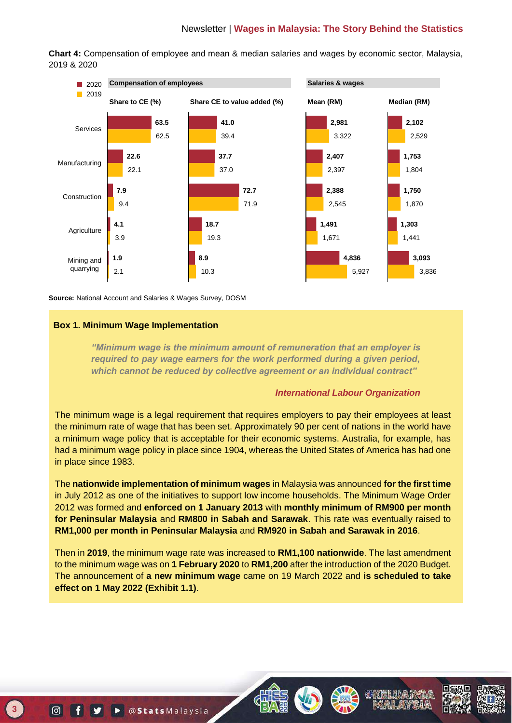### Newsletter | **Wages in Malaysia: The Story Behind the Statistics**

**Chart 4:** Compensation of employee and mean & median salaries and wages by economic sector, Malaysia, 2019 & 2020



**Source:** National Account and Salaries & Wages Survey, DOSM

#### **Box 1. Minimum Wage Implementation**

*"Minimum wage is the minimum amount of remuneration that an employer is required to pay wage earners for the work performed during a given period, which cannot be reduced by collective agreement or an individual contract"*

#### *International Labour Organization*

The minimum wage is a legal requirement that requires employers to pay their employees at least the minimum rate of wage that has been set. Approximately 90 per cent of nations in the world have a minimum wage policy that is acceptable for their economic systems. Australia, for example, has had a minimum wage policy in place since 1904, whereas the United States of America has had one in place since 1983.

The **nationwide implementation of minimum wages** in Malaysia was announced **for the first time** in July 2012 as one of the initiatives to support low income households. The Minimum Wage Order 2012 was formed and **enforced on 1 January 2013** with **monthly minimum of RM900 per month for Peninsular Malaysia** and **RM800 in Sabah and Sarawak**. This rate was eventually raised to **RM1,000 per month in Peninsular Malaysia** and **RM920 in Sabah and Sarawak in 2016**.

Then in **2019**, the minimum wage rate was increased to **RM1,100 nationwide**. The last amendment to the minimum wage was on **1 February 2020** to **RM1,200** after the introduction of the 2020 Budget. The announcement of **a new minimum wage** came on 19 March 2022 and **is scheduled to take effect on 1 May 2022 (Exhibit 1.1)**.







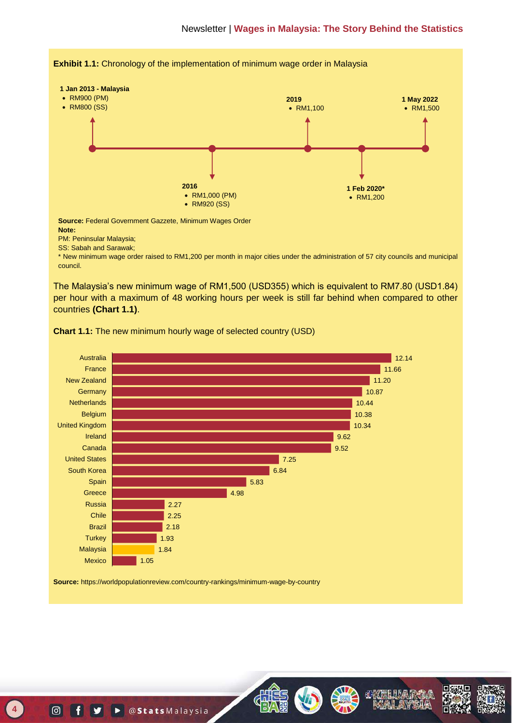

\* New minimum wage order raised to RM1,200 per month in major cities under the administration of 57 city councils and municipal council.

The Malaysia's new minimum wage of RM1,500 (USD355) which is equivalent to RM7.80 (USD1.84) per hour with a maximum of 48 working hours per week is still far behind when compared to other countries **(Chart 1.1)**.

**Chart 1.1:** The new minimum hourly wage of selected country (USD)



**Source:** https://worldpopulationreview.com/country-rankings/minimum-wage-by-country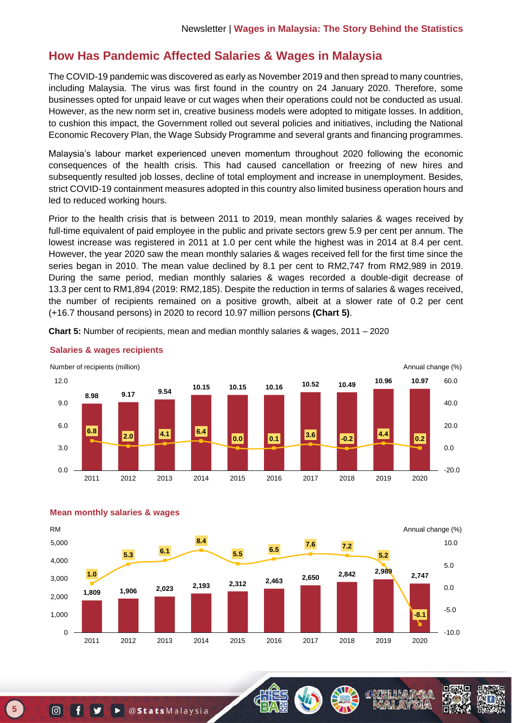## **How Has Pandemic Affected Salaries & Wages in Malaysia**

The COVID-19 pandemic was discovered as early as November 2019 and then spread to many countries, including Malaysia. The virus was first found in the country on 24 January 2020. Therefore, some businesses opted for unpaid leave or cut wages when their operations could not be conducted as usual. However, as the new norm set in, creative business models were adopted to mitigate losses. In addition, to cushion this impact, the Government rolled out several policies and initiatives, including the National Economic Recovery Plan, the Wage Subsidy Programme and several grants and financing programmes.

Malaysia's labour market experienced uneven momentum throughout 2020 following the economic consequences of the health crisis. This had caused cancellation or freezing of new hires and subsequently resulted job losses, decline of total employment and increase in unemployment. Besides, strict COVID-19 containment measures adopted in this country also limited business operation hours and led to reduced working hours.

Prior to the health crisis that is between 2011 to 2019, mean monthly salaries & wages received by full-time equivalent of paid employee in the public and private sectors grew 5.9 per cent per annum. The lowest increase was registered in 2011 at 1.0 per cent while the highest was in 2014 at 8.4 per cent. However, the year 2020 saw the mean monthly salaries & wages received fell for the first time since the series began in 2010. The mean value declined by 8.1 per cent to RM2,747 from RM2,989 in 2019. During the same period, median monthly salaries & wages recorded a double-digit decrease of 13.3 per cent to RM1,894 (2019: RM2,185). Despite the reduction in terms of salaries & wages received, the number of recipients remained on a positive growth, albeit at a slower rate of 0.2 per cent (+16.7 thousand persons) in 2020 to record 10.97 million persons **(Chart 5)**.

**Chart 5:** Number of recipients, mean and median monthly salaries & wages, 2011 – 2020



#### **Salaries & wages recipients**





**Mean monthly salaries & wages**

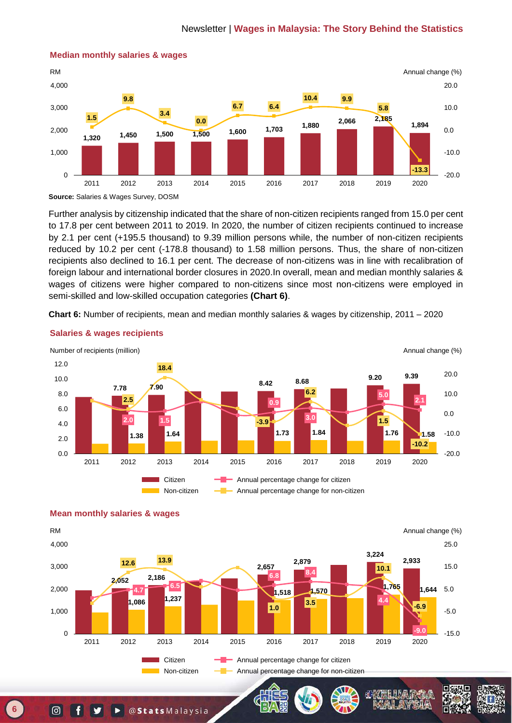

#### **Median monthly salaries & wages**

Further analysis by citizenship indicated that the share of non-citizen recipients ranged from 15.0 per cent to 17.8 per cent between 2011 to 2019. In 2020, the number of citizen recipients continued to increase by 2.1 per cent (+195.5 thousand) to 9.39 million persons while, the number of non-citizen recipients reduced by 10.2 per cent (-178.8 thousand) to 1.58 million persons. Thus, the share of non-citizen recipients also declined to 16.1 per cent. The decrease of non-citizens was in line with recalibration of foreign labour and international border closures in 2020.In overall, mean and median monthly salaries & wages of citizens were higher compared to non-citizens since most non-citizens were employed in semi-skilled and low-skilled occupation categories **(Chart 6)**.

**Chart 6:** Number of recipients, mean and median monthly salaries & wages by citizenship, 2011 – 2020



**Salaries & wages recipients**



#### **Mean monthly salaries & wages**

**Source:** Salaries & Wages Survey, DOSM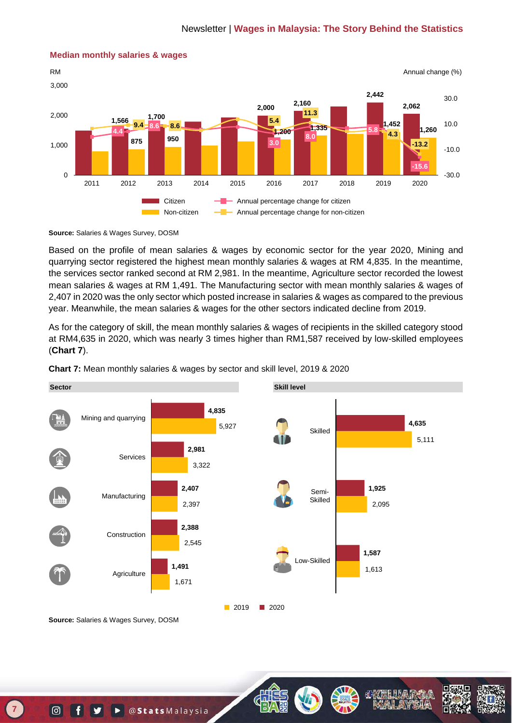

#### **Median monthly salaries & wages**

**Source:** Salaries & Wages Survey, DOSM

Based on the profile of mean salaries & wages by economic sector for the year 2020, Mining and quarrying sector registered the highest mean monthly salaries & wages at RM 4,835. In the meantime, the services sector ranked second at RM 2,981. In the meantime, Agriculture sector recorded the lowest mean salaries & wages at RM 1,491. The Manufacturing sector with mean monthly salaries & wages of 2,407 in 2020 was the only sector which posted increase in salaries & wages as compared to the previous year. Meanwhile, the mean salaries & wages for the other sectors indicated decline from 2019.

As for the category of skill, the mean monthly salaries & wages of recipients in the skilled category stood at RM4,635 in 2020, which was nearly 3 times higher than RM1,587 received by low-skilled employees (**Chart 7**).



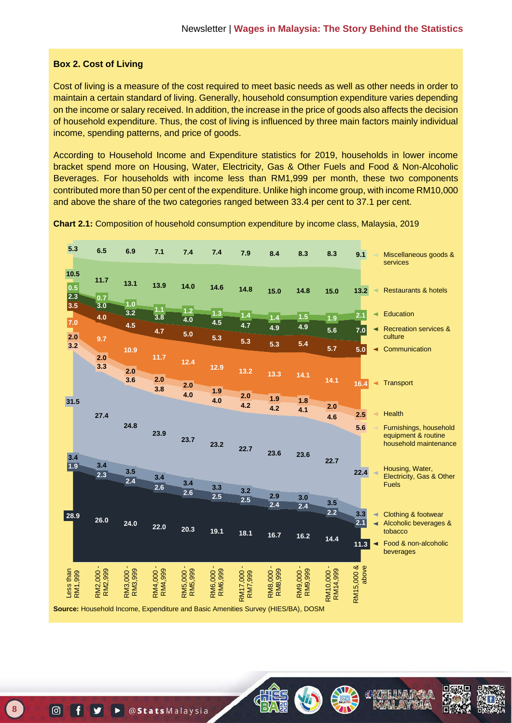#### **Box 2. Cost of Living**

Cost of living is a measure of the cost required to meet basic needs as well as other needs in order to maintain a certain standard of living. Generally, household consumption expenditure varies depending on the income or salary received. In addition, the increase in the price of goods also affects the decision of household expenditure. Thus, the cost of living is influenced by three main factors mainly individual income, spending patterns, and price of goods.

According to Household Income and Expenditure statistics for 2019, households in lower income bracket spend more on Housing, Water, Electricity, Gas & Other Fuels and Food & Non-Alcoholic Beverages. For households with income less than RM1,999 per month, these two components contributed more than 50 per cent of the expenditure. Unlike high income group, with income RM10,000 and above the share of the two categories ranged between 33.4 per cent to 37.1 per cent.

**Chart 2.1:** Composition of household consumption expenditure by income class, Malaysia, 2019



**REACTOR REAC**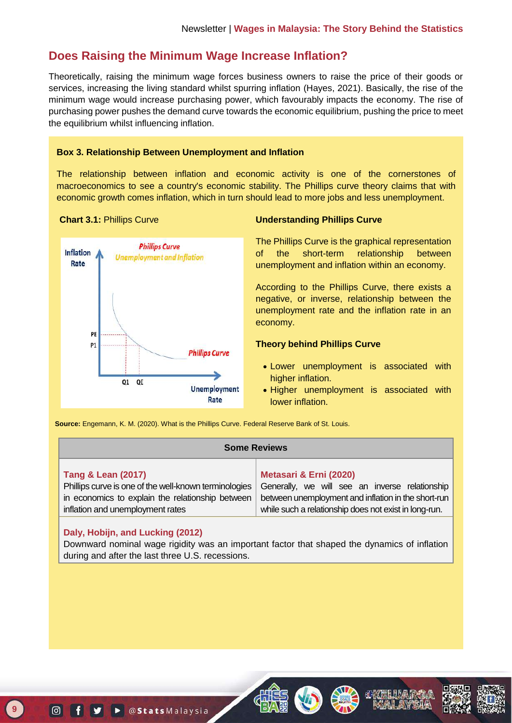## **Does Raising the Minimum Wage Increase Inflation?**

Theoretically, raising the minimum wage forces business owners to raise the price of their goods or services, increasing the living standard whilst spurring inflation (Hayes, 2021). Basically, the rise of the minimum wage would increase purchasing power, which favourably impacts the economy. The rise of purchasing power pushes the demand curve towards the economic equilibrium, pushing the price to meet the equilibrium whilst influencing inflation.

#### **Box 3. Relationship Between Unemployment and Inflation**

The relationship between inflation and economic activity is one of the cornerstones of macroeconomics to see a country's economic stability. The Phillips curve theory claims that with economic growth comes inflation, which in turn should lead to more jobs and less unemployment.



### **Chart 3.1:** Phillips Curve **Understanding Phillips Curve**

The Phillips Curve is the graphical representation of the short-term relationship between unemployment and inflation within an economy.

According to the Phillips Curve, there exists a negative, or inverse, relationship between the unemployment rate and the inflation rate in an economy.

### **Theory behind Phillips Curve**

- Lower unemployment is associated with higher inflation.
- Higher unemployment is associated with lower inflation.

**Source:** Engemann, K. M. (2020). What is the Phillips Curve. Federal Reserve Bank of St. Louis.

| <b>Some Reviews</b>                                                                                          |  |  |
|--------------------------------------------------------------------------------------------------------------|--|--|
| Metasari & Erni (2020)                                                                                       |  |  |
| Generally, we will see an inverse relationship                                                               |  |  |
| between unemployment and inflation in the short-run<br>while such a relationship does not exist in long-run. |  |  |
|                                                                                                              |  |  |

### **Daly, Hobijn, and Lucking (2012)**

Downward nominal wage rigidity was an important factor that shaped the dynamics of inflation during and after the last three U.S. recessions.





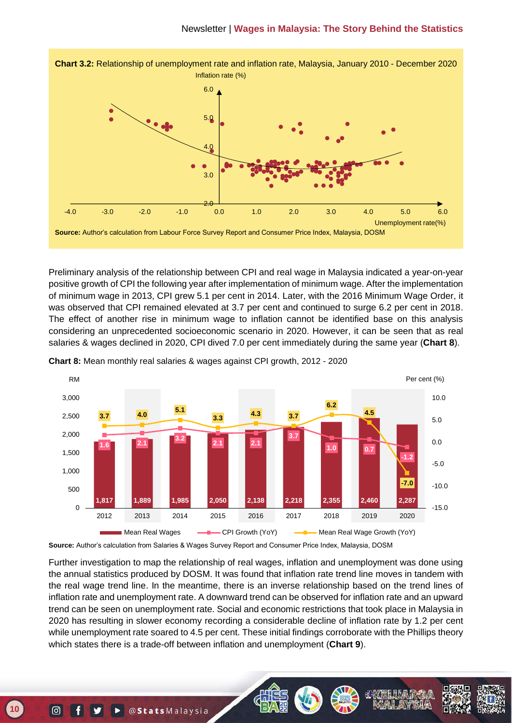

Preliminary analysis of the relationship between CPI and real wage in Malaysia indicated a year-on-year positive growth of CPI the following year after implementation of minimum wage. After the implementation of minimum wage in 2013, CPI grew 5.1 per cent in 2014. Later, with the 2016 Minimum Wage Order, it was observed that CPI remained elevated at 3.7 per cent and continued to surge 6.2 per cent in 2018. The effect of another rise in minimum wage to inflation cannot be identified base on this analysis considering an unprecedented socioeconomic scenario in 2020. However, it can be seen that as real salaries & wages declined in 2020, CPI dived 7.0 per cent immediately during the same year (**Chart 8**).



**Chart 8:** Mean monthly real salaries & wages against CPI growth, 2012 - 2020

**Source:** Author's calculation from Salaries & Wages Survey Report and Consumer Price Index, Malaysia, DOSM

Further investigation to map the relationship of real wages, inflation and unemployment was done using the annual statistics produced by DOSM. It was found that inflation rate trend line moves in tandem with the real wage trend line. In the meantime, there is an inverse relationship based on the trend lines of inflation rate and unemployment rate. A downward trend can be observed for inflation rate and an upward trend can be seen on unemployment rate. Social and economic restrictions that took place in Malaysia in 2020 has resulting in slower economy recording a considerable decline of inflation rate by 1.2 per cent while unemployment rate soared to 4.5 per cent. These initial findings corroborate with the Phillips theory which states there is a trade-off between inflation and unemployment (**Chart 9**).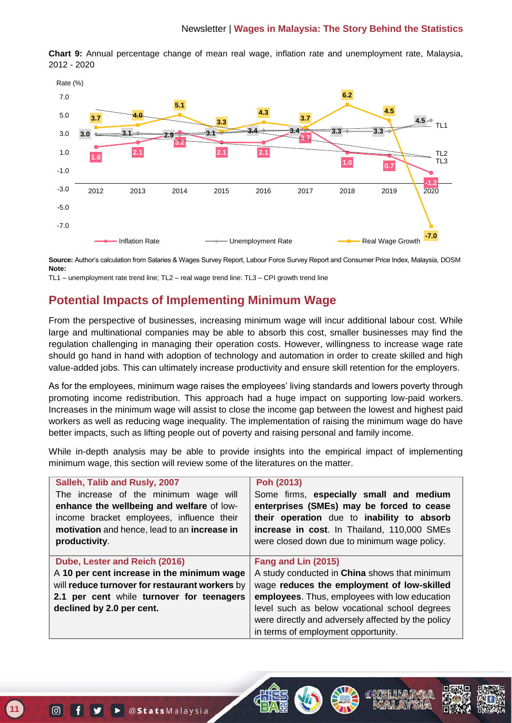

**Chart 9:** Annual percentage change of mean real wage, inflation rate and unemployment rate, Malaysia, 2012 - 2020

**Source:** Author's calculation from Salaries & Wages Survey Report, Labour Force Survey Report and Consumer Price Index, Malaysia, DOSM **Note:**

TL1 – unemployment rate trend line; TL2 – real wage trend line: TL3 – CPI growth trend line

## **Potential Impacts of Implementing Minimum Wage**

From the perspective of businesses, increasing minimum wage will incur additional labour cost. While large and multinational companies may be able to absorb this cost, smaller businesses may find the regulation challenging in managing their operation costs. However, willingness to increase wage rate should go hand in hand with adoption of technology and automation in order to create skilled and high value-added jobs. This can ultimately increase productivity and ensure skill retention for the employers.

As for the employees, minimum wage raises the employees' living standards and lowers poverty through promoting income redistribution. This approach had a huge impact on supporting low-paid workers. Increases in the minimum wage will assist to close the income gap between the lowest and highest paid workers as well as reducing wage inequality. The implementation of raising the minimum wage do have better impacts, such as lifting people out of poverty and raising personal and family income.

While in-depth analysis may be able to provide insights into the empirical impact of implementing minimum wage, this section will review some of the literatures on the matter.

| Salleh, Talib and Rusly, 2007                  | Poh (2013)                                                                                |
|------------------------------------------------|-------------------------------------------------------------------------------------------|
| The increase of the minimum wage will          | Some firms, especially small and medium                                                   |
| enhance the wellbeing and welfare of low-      | enterprises (SMEs) may be forced to cease                                                 |
| income bracket employees, influence their      | their operation due to inability to absorb                                                |
| motivation and hence, lead to an increase in   | increase in cost. In Thailand, 110,000 SMEs                                               |
| productivity.                                  | were closed down due to minimum wage policy.                                              |
|                                                |                                                                                           |
| Dube, Lester and Reich (2016)                  | Fang and Lin (2015)                                                                       |
| A 10 per cent increase in the minimum wage     | A study conducted in <b>China</b> shows that minimum                                      |
| will reduce turnover for restaurant workers by | wage reduces the employment of low-skilled                                                |
| 2.1 per cent while turnover for teenagers      | employees. Thus, employees with low education                                             |
| declined by 2.0 per cent.                      | level such as below vocational school degrees                                             |
|                                                |                                                                                           |
|                                                |                                                                                           |
|                                                | were directly and adversely affected by the policy<br>in terms of employment opportunity. |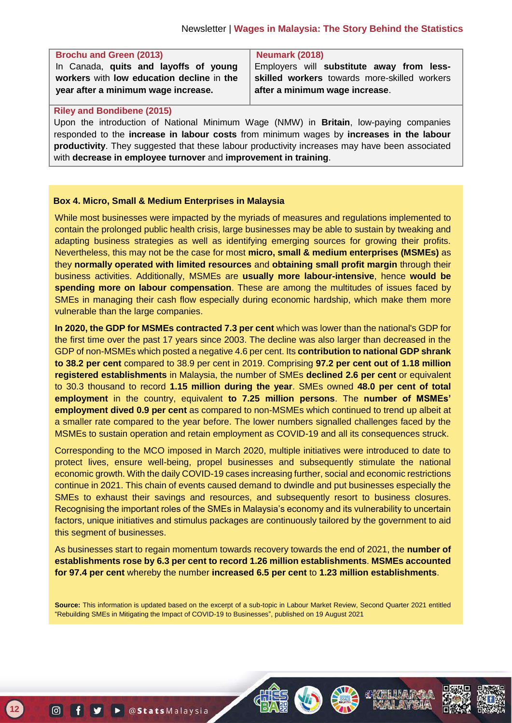| <b>Brochu and Green (2013)</b>            | <b>Neumark (2018)</b>                        |
|-------------------------------------------|----------------------------------------------|
| In Canada, quits and layoffs of young     | Employers will substitute away from less-    |
| workers with low education decline in the | skilled workers towards more-skilled workers |
| year after a minimum wage increase.       | after a minimum wage increase.               |
|                                           |                                              |

#### **Riley and Bondibene (2015)**

Upon the introduction of National Minimum Wage (NMW) in **Britain**, low-paying companies responded to the **increase in labour costs** from minimum wages by **increases in the labour productivity**. They suggested that these labour productivity increases may have been associated with **decrease in employee turnover** and **improvement in training**.

#### **Box 4. Micro, Small & Medium Enterprises in Malaysia**

While most businesses were impacted by the myriads of measures and regulations implemented to contain the prolonged public health crisis, large businesses may be able to sustain by tweaking and adapting business strategies as well as identifying emerging sources for growing their profits. Nevertheless, this may not be the case for most **micro, small & medium enterprises (MSMEs)** as they **normally operated with limited resources** and **obtaining small profit margin** through their business activities. Additionally, MSMEs are **usually more labour-intensive**, hence **would be spending more on labour compensation**. These are among the multitudes of issues faced by SMEs in managing their cash flow especially during economic hardship, which make them more vulnerable than the large companies.

**In 2020, the GDP for MSMEs contracted 7.3 per cent** which was lower than the national's GDP for the first time over the past 17 years since 2003. The decline was also larger than decreased in the GDP of non-MSMEs which posted a negative 4.6 per cent. Its **contribution to national GDP shrank to 38.2 per cent** compared to 38.9 per cent in 2019. Comprising **97.2 per cent out of 1.18 million registered establishments** in Malaysia, the number of SMEs **declined 2.6 per cent** or equivalent to 30.3 thousand to record **1.15 million during the year**. SMEs owned **48.0 per cent of total employment** in the country, equivalent **to 7.25 million persons**. The **number of MSMEs' employment dived 0.9 per cent** as compared to non-MSMEs which continued to trend up albeit at a smaller rate compared to the year before. The lower numbers signalled challenges faced by the MSMEs to sustain operation and retain employment as COVID-19 and all its consequences struck.

Corresponding to the MCO imposed in March 2020, multiple initiatives were introduced to date to protect lives, ensure well-being, propel businesses and subsequently stimulate the national economic growth. With the daily COVID-19 cases increasing further, social and economic restrictions continue in 2021. This chain of events caused demand to dwindle and put businesses especially the SMEs to exhaust their savings and resources, and subsequently resort to business closures. Recognising the important roles of the SMEs in Malaysia's economy and its vulnerability to uncertain factors, unique initiatives and stimulus packages are continuously tailored by the government to aid this segment of businesses.

As businesses start to regain momentum towards recovery towards the end of 2021, the **number of establishments rose by 6.3 per cent to record 1.26 million establishments**. **MSMEs accounted for 97.4 per cent** whereby the number **increased 6.5 per cent** to **1.23 million establishments**.

**Source:** This information is updated based on the excerpt of a sub-topic in Labour Market Review, Second Quarter 2021 entitled "Rebuilding SMEs in Mitigating the Impact of COVID-19 to Businesses", published on 19 August 2021